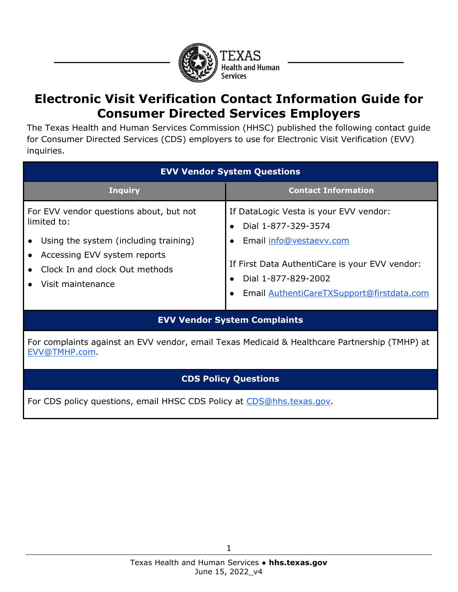

## **Electronic Visit Verification Contact Information Guide for Consumer Directed Services Employers**

The Texas Health and Human Services Commission (HHSC) published the following contact guide for Consumer Directed Services (CDS) employers to use for Electronic Visit Verification (EVV) inquiries.

| <b>EVV Vendor System Questions</b>      |                                                |  |
|-----------------------------------------|------------------------------------------------|--|
| <b>Inquiry</b>                          | <b>Contact Information</b>                     |  |
| For EVV vendor questions about, but not | If DataLogic Vesta is your EVV vendor:         |  |
| limited to:                             | Dial 1-877-329-3574                            |  |
| Using the system (including training)   | Email info@vestaevv.com                        |  |
| Accessing EVV system reports            | If First Data AuthentiCare is your EVV vendor: |  |
| Clock In and clock Out methods          | Dial 1-877-829-2002                            |  |
| Visit maintenance                       | Email AuthentiCareTXSupport@firstdata.com      |  |

## **EVV Vendor System Complaints**

For complaints against an EVV vendor, email Texas Medicaid & Healthcare Partnership (TMHP) at EVV@TMHP.com.

## **CDS Policy Questions**

For CDS policy questions, email [HHSC CDS Policy](mailto:CDS@hhsc.state.tx.us) at CDS@hhs.texas.gov.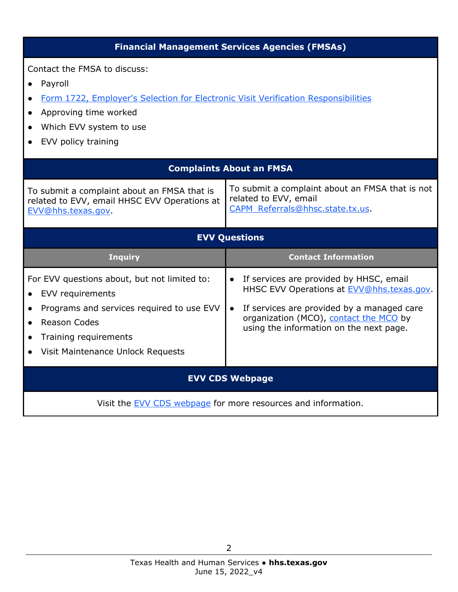| <b>Financial Management Services Agencies (FMSAs)</b>                                                                                                                                                                              |                                                                                                                                                                                                                                                   |  |  |
|------------------------------------------------------------------------------------------------------------------------------------------------------------------------------------------------------------------------------------|---------------------------------------------------------------------------------------------------------------------------------------------------------------------------------------------------------------------------------------------------|--|--|
| Contact the FMSA to discuss:<br>Payroll<br>$\bullet$<br>Form 1722, Employer's Selection for Electronic Visit Verification Responsibilities<br>$\bullet$<br>Approving time worked<br>Which EVV system to use<br>EVV policy training |                                                                                                                                                                                                                                                   |  |  |
| <b>Complaints About an FMSA</b>                                                                                                                                                                                                    |                                                                                                                                                                                                                                                   |  |  |
| To submit a complaint about an FMSA that is<br>related to EVV, email HHSC EVV Operations at<br>EVV@hhs.texas.gov.                                                                                                                  | To submit a complaint about an FMSA that is not<br>related to EVV, email<br>CAPM Referrals@hhsc.state.tx.us                                                                                                                                       |  |  |
| <b>EVV Questions</b>                                                                                                                                                                                                               |                                                                                                                                                                                                                                                   |  |  |
| <b>Inquiry</b>                                                                                                                                                                                                                     | <b>Contact Information</b>                                                                                                                                                                                                                        |  |  |
| For EVV questions about, but not limited to:<br>EVV requirements<br>Programs and services required to use EVV<br><b>Reason Codes</b><br>$\bullet$<br>Training requirements<br>Visit Maintenance Unlock Requests                    | If services are provided by HHSC, email<br>$\bullet$<br>HHSC EVV Operations at EVV@hhs.texas.gov.<br>If services are provided by a managed care<br>$\bullet$<br>organization (MCO), contact the MCO by<br>using the information on the next page. |  |  |
| <b>EVV CDS Webpage</b>                                                                                                                                                                                                             |                                                                                                                                                                                                                                                   |  |  |
|                                                                                                                                                                                                                                    | Visit the EVV CDS webpage for more resources and information.                                                                                                                                                                                     |  |  |